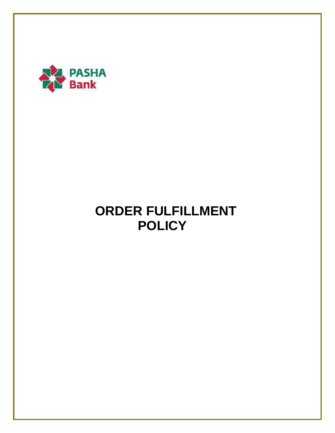

# **ORDER FULFILLMENT POLICY**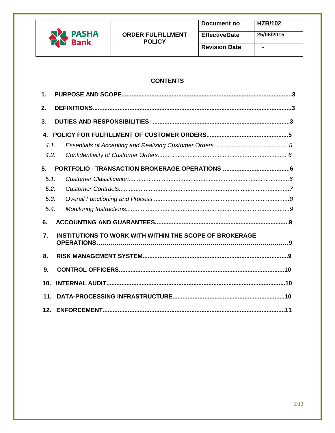

# **CONTENTS**

| $\mathbf 1$ . |                                                         |  |
|---------------|---------------------------------------------------------|--|
| 2.            |                                                         |  |
| 3.            |                                                         |  |
| 4.            |                                                         |  |
| 4.1.          |                                                         |  |
| 4.2.          |                                                         |  |
| 5.            |                                                         |  |
| 5.1.          |                                                         |  |
| 5.2.          |                                                         |  |
| 5.3.          |                                                         |  |
| 5.4.          |                                                         |  |
| 6.            |                                                         |  |
| 7.            | INSTITUTIONS TO WORK WITH WITHIN THE SCOPE OF BROKERAGE |  |
| 8.            |                                                         |  |
| 9.            |                                                         |  |
| 10.           |                                                         |  |
| 11.           |                                                         |  |
|               |                                                         |  |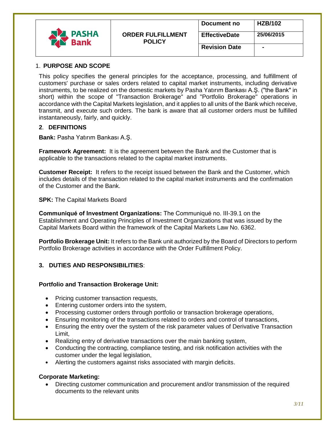|                      |                                           | Document no          | <b>HZB/102</b> |
|----------------------|-------------------------------------------|----------------------|----------------|
| <b>PASHA</b><br>Bank | <b>ORDER FULFILLMENT</b><br><b>POLICY</b> | <b>EffectiveDate</b> | 25/06/2015     |
|                      |                                           | <b>Revision Date</b> |                |

#### 1. **PURPOSE AND SCOPE**

This policy specifies the general principles for the acceptance, processing, and fulfillment of customers' purchase or sales orders related to capital market instruments, including derivative instruments, to be realized on the domestic markets by Pasha Yatırım Bankası A.Ş. ("the Bank" in short) within the scope of "Transaction Brokerage" and "Portfolio Brokerage" operations in accordance with the Capital Markets legislation, and it applies to all units of the Bank which receive, transmit, and execute such orders. The bank is aware that all customer orders must be fulfilled instantaneously, fairly, and quickly.

#### **2**. **DEFINITIONS**

**Bank:** Pasha Yatırım Bankası A.Ş.

**Framework Agreement:** It is the agreement between the Bank and the Customer that is applicable to the transactions related to the capital market instruments.

**Customer Receipt:** It refers to the receipt issued between the Bank and the Customer, which includes details of the transaction related to the capital market instruments and the confirmation of the Customer and the Bank.

**SPK: The Capital Markets Board** 

**Communiqué of Investment Organizations:** The Communiqué no. III-39.1 on the Establishment and Operating Principles of Investment Organizations that was issued by the Capital Markets Board within the framework of the Capital Markets Law No. 6362.

**Portfolio Brokerage Unit:** It refers to the Bank unit authorized by the Board of Directors to perform Portfolio Brokerage activities in accordance with the Order Fulfillment Policy.

## **3. DUTIES AND RESPONSIBILITIES**:

#### **Portfolio and Transaction Brokerage Unit:**

- Pricing customer transaction requests,
- Entering customer orders into the system,
- Processing customer orders through portfolio or transaction brokerage operations,
- Ensuring monitoring of the transactions related to orders and control of transactions,
- Ensuring the entry over the system of the risk parameter values of Derivative Transaction Limit,
- Realizing entry of derivative transactions over the main banking system,
- Conducting the contracting, compliance testing, and risk notification activities with the customer under the legal legislation,
- Alerting the customers against risks associated with margin deficits.

## **Corporate Marketing:**

 Directing customer communication and procurement and/or transmission of the required documents to the relevant units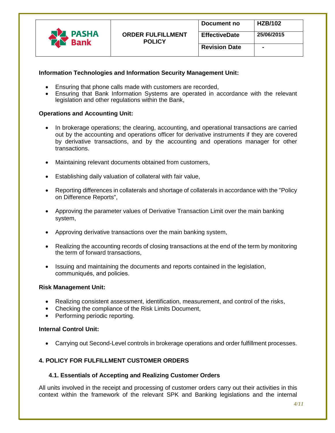|              |                          | Document no          | <b>HZB/102</b> |
|--------------|--------------------------|----------------------|----------------|
| <b>PASHA</b> | <b>ORDER FULFILLMENT</b> | <b>EffectiveDate</b> | 25/06/2015     |
| <b>Bank</b>  | <b>POLICY</b>            | <b>Revision Date</b> | $\blacksquare$ |
|              |                          |                      |                |

## **Information Technologies and Information Security Management Unit:**

- Ensuring that phone calls made with customers are recorded,
- Ensuring that Bank Information Systems are operated in accordance with the relevant legislation and other regulations within the Bank,

#### **Operations and Accounting Unit:**

- In brokerage operations; the clearing, accounting, and operational transactions are carried out by the accounting and operations officer for derivative instruments if they are covered by derivative transactions, and by the accounting and operations manager for other transactions.
- Maintaining relevant documents obtained from customers,
- Establishing daily valuation of collateral with fair value,
- Reporting differences in collaterals and shortage of collaterals in accordance with the "Policy on Difference Reports",
- Approving the parameter values of Derivative Transaction Limit over the main banking system,
- Approving derivative transactions over the main banking system,
- Realizing the accounting records of closing transactions at the end of the term by monitoring the term of forward transactions,
- Issuing and maintaining the documents and reports contained in the legislation, communiqués, and policies.

#### **Risk Management Unit:**

- Realizing consistent assessment, identification, measurement, and control of the risks,
- Checking the compliance of the Risk Limits Document,
- Performing periodic reporting.

#### **Internal Control Unit:**

Carrying out Second-Level controls in brokerage operations and order fulfillment processes.

## **4. POLICY FOR FULFILLMENT CUSTOMER ORDERS**

## **4.1. Essentials of Accepting and Realizing Customer Orders**

All units involved in the receipt and processing of customer orders carry out their activities in this context within the framework of the relevant SPK and Banking legislations and the internal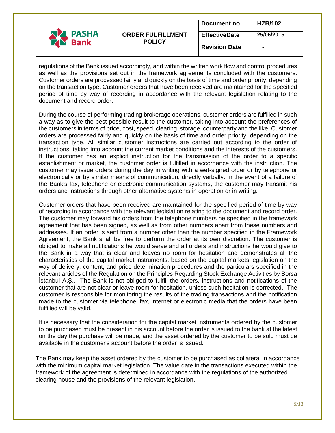|                                     |                                           | Document no          | <b>HZB/102</b> |
|-------------------------------------|-------------------------------------------|----------------------|----------------|
| <b>PASHA</b><br><b>Bank</b><br>- 20 | <b>ORDER FULFILLMENT</b><br><b>POLICY</b> | <b>EffectiveDate</b> | 25/06/2015     |
|                                     |                                           | <b>Revision Date</b> |                |

regulations of the Bank issued accordingly, and within the written work flow and control procedures as well as the provisions set out in the framework agreements concluded with the customers. Customer orders are processed fairly and quickly on the basis of time and order priority, depending on the transaction type. Customer orders that have been received are maintained for the specified period of time by way of recording in accordance with the relevant legislation relating to the document and record order.

During the course of performing trading brokerage operations, customer orders are fulfilled in such a way as to give the best possible result to the customer, taking into account the preferences of the customers in terms of price, cost, speed, clearing, storage, counterparty and the like. Customer orders are processed fairly and quickly on the basis of time and order priority, depending on the transaction type. All similar customer instructions are carried out according to the order of instructions, taking into account the current market conditions and the interests of the customers. If the customer has an explicit instruction for the transmission of the order to a specific establishment or market, the customer order is fulfilled in accordance with the instruction. The customer may issue orders during the day in writing with a wet-signed order or by telephone or electronically or by similar means of communication, directly verbally. In the event of a failure of the Bank's fax, telephone or electronic communication systems, the customer may transmit his orders and instructions through other alternative systems in operation or in writing.

Customer orders that have been received are maintained for the specified period of time by way of recording in accordance with the relevant legislation relating to the document and record order. The customer may forward his orders from the telephone numbers he specified in the framework agreement that has been signed, as well as from other numbers apart from these numbers and addresses. If an order is sent from a number other than the number specified in the Framework Agreement, the Bank shall be free to perform the order at its own discretion. The customer is obliged to make all notifications he would serve and all orders and instructions he would give to the Bank in a way that is clear and leaves no room for hesitation and demonstrates all the characteristics of the capital market instruments, based on the capital markets legislation on the way of delivery, content, and price determination procedures and the particulars specified in the relevant articles of the Regulation on the Principles Regarding Stock Exchange Activities by Borsa İstanbul A.Ş.. The Bank is not obliged to fulfill the orders, instructions and notifications of the customer that are not clear or leave room for hesitation, unless such hesitation is corrected. The customer is responsible for monitoring the results of the trading transactions and the notification made to the customer via telephone, fax, internet or electronic media that the orders have been fulfilled will be valid.

It is necessary that the consideration for the capital market instruments ordered by the customer to be purchased must be present in his account before the order is issued to the bank at the latest on the day the purchase will be made, and the asset ordered by the customer to be sold must be available in the customer's account before the order is issued.

The Bank may keep the asset ordered by the customer to be purchased as collateral in accordance with the minimum capital market legislation. The value date in the transactions executed within the framework of the agreement is determined in accordance with the regulations of the authorized clearing house and the provisions of the relevant legislation.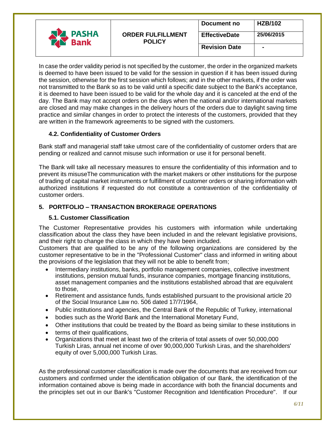|                             |                                           | Document no          | <b>HZB/102</b> |
|-----------------------------|-------------------------------------------|----------------------|----------------|
| <b>PASHA</b><br><b>Bank</b> | <b>ORDER FULFILLMENT</b><br><b>POLICY</b> | <b>EffectiveDate</b> | 25/06/2015     |
|                             |                                           | <b>Revision Date</b> | $\blacksquare$ |

In case the order validity period is not specified by the customer, the order in the organized markets is deemed to have been issued to be valid for the session in question if it has been issued during the session, otherwise for the first session which follows; and in the other markets, if the order was not transmitted to the Bank so as to be valid until a specific date subject to the Bank's acceptance, it is deemed to have been issued to be valid for the whole day and it is canceled at the end of the day. The Bank may not accept orders on the days when the national and/or international markets are closed and may make changes in the delivery hours of the orders due to daylight saving time practice and similar changes in order to protect the interests of the customers, provided that they are written in the framework agreements to be signed with the customers.

# **4.2. Confidentiality of Customer Orders**

Bank staff and managerial staff take utmost care of the confidentiality of customer orders that are pending or realized and cannot misuse such information or use it for personal benefit.

The Bank will take all necessary measures to ensure the confidentiality of this information and to prevent its misuseThe communication with the market makers or other institutions for the purpose of trading of capital market instruments or fulfillment of customer orders or sharing information with authorized institutions if requested do not constitute a contravention of the confidentiality of customer orders.

# **5. PORTFOLIO – TRANSACTION BROKERAGE OPERATIONS**

# **5.1. Customer Classification**

The Customer Representative provides his customers with information while undertaking classification about the class they have been included in and the relevant legislative provisions, and their right to change the class in which they have been included.

Customers that are qualified to be any of the following organizations are considered by the customer representative to be in the "Professional Customer" class and informed in writing about the provisions of the legislation that they will not be able to benefit from;

- Intermediary institutions, banks, portfolio management companies, collective investment institutions, pension mutual funds, insurance companies, mortgage financing institutions, asset management companies and the institutions established abroad that are equivalent to those,
- Retirement and assistance funds, funds established pursuant to the provisional article 20 of the Social Insurance Law no. 506 dated 17/7/1964,
- Public institutions and agencies, the Central Bank of the Republic of Turkey, international
- bodies such as the World Bank and the International Monetary Fund,
- Other institutions that could be treated by the Board as being similar to these institutions in
- terms of their qualifications,
- Organizations that meet at least two of the criteria of total assets of over 50,000,000 Turkish Liras, annual net income of over 90,000,000 Turkish Liras, and the shareholders' equity of over 5,000,000 Turkish Liras.

As the professional customer classification is made over the documents that are received from our customers and confirmed under the identification obligation of our Bank, the identification of the information contained above is being made in accordance with both the financial documents and the principles set out in our Bank's "Customer Recognition and Identification Procedure". If our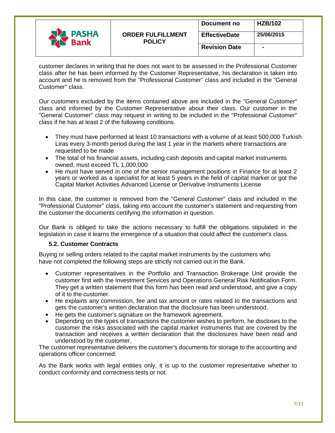|                      |                                           | Document no          | <b>HZB/102</b> |
|----------------------|-------------------------------------------|----------------------|----------------|
| <b>PASHA</b><br>Bank | <b>ORDER FULFILLMENT</b><br><b>POLICY</b> | <b>EffectiveDate</b> | 25/06/2015     |
|                      |                                           | <b>Revision Date</b> |                |

customer declares in writing that he does not want to be assessed in the Professional Customer class after he has been informed by the Customer Representative, his declaration is taken into account and he is removed from the "Professional Customer" class and included in the "General Customer" class.

Our customers excluded by the items contained above are included in the "General Customer" class and informed by the Customer Representative about their class. Our customer in the "General Customer" class may request in writing to be included in the "Professional Customer" class if he has at least 2 of the following conditions.

- They must have performed at least 10 transactions with a volume of at least 500,000 Turkish Liras every 3-month period during the last 1 year in the markets where transactions are requested to be made
- The total of his financial assets, including cash deposits and capital market instruments owned, must exceed TL 1,000,000
- He must have served in one of the senior management positions in Finance for at least 2 years or worked as a specialist for at least 5 years in the field of capital market or got the Capital Market Activities Advanced License or Derivative Instruments License

In this case, the customer is removed from the "General Customer" class and included in the "Professional Customer" class, taking into account the customer's statement and requesting from the customer the documents certifying the information in question.

Our Bank is obliged to take the actions necessary to fulfill the obligations stipulated in the legislation in case it learns the emergence of a situation that could affect the customer's class.

## **5.2. Customer Contracts**

Buying or selling orders related to the capital market instruments by the customers who have not completed the following steps are strictly not carried out in the Bank.

- Customer representatives in the Portfolio and Transaction Brokerage Unit provide the customer first with the Investment Services and Operations General Risk Notification Form. They get a written statement that this form has been read and understood, and give a copy of it to the customer.
- He explains any commission, fee and tax amount or rates related to the transactions and gets the customer's written declaration that the disclosure has been understood.
- He gets the customer's signature on the framework agreement.
- Depending on the types of transactions the customer wishes to perform, he discloses to the customer the risks associated with the capital market instruments that are covered by the transaction and receives a written declaration that the disclosures have been read and understood by the customer.

The customer representative delivers the customer's documents for storage to the accounting and operations officer concerned.

As the Bank works with legal entities only, it is up to the customer representative whether to conduct conformity and correctness tests or not.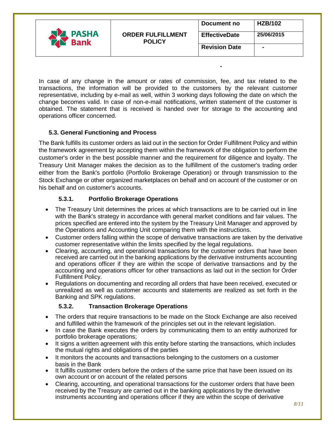|                             |                                           | Document no          | <b>HZB/102</b> |
|-----------------------------|-------------------------------------------|----------------------|----------------|
| <b>PASHA</b><br><b>Bank</b> | <b>ORDER FULFILLMENT</b><br><b>POLICY</b> | <b>EffectiveDate</b> | 25/06/2015     |
|                             |                                           | <b>Revision Date</b> |                |

**-**

In case of any change in the amount or rates of commission, fee, and tax related to the transactions, the information will be provided to the customers by the relevant customer representative, including by e-mail as well, within 3 working days following the date on which the change becomes valid. In case of non-e-mail notifications, written statement of the customer is obtained. The statement that is received is handed over for storage to the accounting and operations officer concerned.

# **5.3. General Functioning and Process**

The Bank fulfills its customer orders as laid out in the section for Order Fulfillment Policy and within the framework agreement by accepting them within the framework of the obligation to perform the customer's order in the best possible manner and the requirement for diligence and loyalty. The Treasury Unit Manager makes the decision as to the fulfillment of the customer's trading order either from the Bank's portfolio (Portfolio Brokerage Operation) or through transmission to the Stock Exchange or other organized marketplaces on behalf and on account of the customer or on his behalf and on customer's accounts.

# **5.3.1. Portfolio Brokerage Operations**

- The Treasury Unit determines the prices at which transactions are to be carried out in line with the Bank's strategy in accordance with general market conditions and fair values. The prices specified are entered into the system by the Treasury Unit Manager and approved by the Operations and Accounting Unit comparing them with the instructions.
- Customer orders falling within the scope of derivative transactions are taken by the derivative customer representative within the limits specified by the legal regulations.
- Clearing, accounting, and operational transactions for the customer orders that have been received are carried out in the banking applications by the derivative instruments accounting and operations officer if they are within the scope of derivative transactions and by the accounting and operations officer for other transactions as laid out in the section for Order Fulfillment Policy.
- Regulations on documenting and recording all orders that have been received, executed or unrealized as well as customer accounts and statements are realized as set forth in the Banking and SPK regulations.

# **5.3.2. Transaction Brokerage Operations**

- The orders that require transactions to be made on the Stock Exchange are also received and fulfilled within the framework of the principles set out in the relevant legislation.
- In case the Bank executes the orders by communicating them to an entity authorized for portfolio brokerage operations;
- It signs a written agreement with this entity before starting the transactions, which includes the mutual rights and obligations of the parties
- It monitors the accounts and transactions belonging to the customers on a customer basis in the Bank
- It fulfills customer orders before the orders of the same price that have been issued on its own account or on account of the related persons
- Clearing, accounting, and operational transactions for the customer orders that have been received by the Treasury are carried out in the banking applications by the derivative instruments accounting and operations officer if they are within the scope of derivative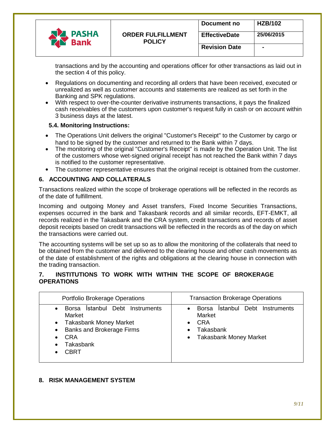|                             |                                           | Document no          | <b>HZB/102</b> |
|-----------------------------|-------------------------------------------|----------------------|----------------|
| <b>PASHA</b><br><b>Bank</b> | <b>ORDER FULFILLMENT</b><br><b>POLICY</b> | <b>EffectiveDate</b> | 25/06/2015     |
|                             |                                           | <b>Revision Date</b> |                |

transactions and by the accounting and operations officer for other transactions as laid out in the section 4 of this policy.

- Regulations on documenting and recording all orders that have been received, executed or unrealized as well as customer accounts and statements are realized as set forth in the Banking and SPK regulations.
- With respect to over-the-counter derivative instruments transactions, it pays the finalized cash receivables of the customers upon customer's request fully in cash or on account within 3 business days at the latest.

## **5.4. Monitoring Instructions:**

- The Operations Unit delivers the original "Customer's Receipt" to the Customer by cargo or hand to be signed by the customer and returned to the Bank within 7 days.
- The monitoring of the original "Customer's Receipt" is made by the Operation Unit. The list of the customers whose wet-signed original receipt has not reached the Bank within 7 days is notified to the customer representative.
- The customer representative ensures that the original receipt is obtained from the customer.

# **6. ACCOUNTING AND COLLATERALS**

Transactions realized within the scope of brokerage operations will be reflected in the records as of the date of fulfillment.

Incoming and outgoing Money and Asset transfers, Fixed Income Securities Transactions, expenses occurred in the bank and Takasbank records and all similar records, EFT-EMKT, all records realized in the Takasbank and the CRA system, credit transactions and records of asset deposit receipts based on credit transactions will be reflected in the records as of the day on which the transactions were carried out.

The accounting systems will be set up so as to allow the monitoring of the collaterals that need to be obtained from the customer and delivered to the clearing house and other cash movements as of the date of establishment of the rights and obligations at the clearing house in connection with the trading transaction.

## **7. INSTITUTIONS TO WORK WITH WITHIN THE SCOPE OF BROKERAGE OPERATIONS**

| Portfolio Brokerage Operations                                                                                                                                            | <b>Transaction Brokerage Operations</b>                                                                                      |
|---------------------------------------------------------------------------------------------------------------------------------------------------------------------------|------------------------------------------------------------------------------------------------------------------------------|
| <b>Istanbul Debt Instruments</b><br>Borsa<br>Market<br><b>Takasbank Money Market</b><br><b>Banks and Brokerage Firms</b><br><b>CRA</b><br><b>Takasbank</b><br><b>CBRT</b> | <b>Istanbul Debt Instruments</b><br>Borsa<br>Market<br><b>CRA</b><br>Takasbank<br><b>Takasbank Money Market</b><br>$\bullet$ |

# **8. RISK MANAGEMENT SYSTEM**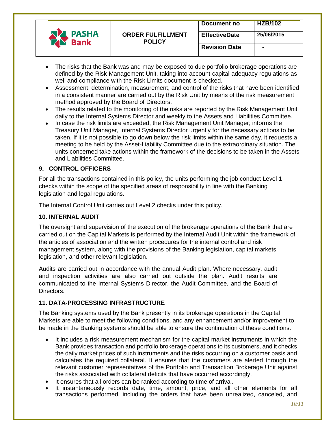|                             |                                           | Document no          | <b>HZB/102</b> |
|-----------------------------|-------------------------------------------|----------------------|----------------|
| <b>PASHA</b><br><b>Bank</b> | <b>ORDER FULFILLMENT</b><br><b>POLICY</b> | <b>EffectiveDate</b> | 25/06/2015     |
|                             |                                           | <b>Revision Date</b> | $\blacksquare$ |

- The risks that the Bank was and may be exposed to due portfolio brokerage operations are defined by the Risk Management Unit, taking into account capital adequacy regulations as well and compliance with the Risk Limits document is checked.
- Assessment, determination, measurement, and control of the risks that have been identified in a consistent manner are carried out by the Risk Unit by means of the risk measurement method approved by the Board of Directors.
- The results related to the monitoring of the risks are reported by the Risk Management Unit daily to the Internal Systems Director and weekly to the Assets and Liabilities Committee.
- In case the risk limits are exceeded, the Risk Management Unit Manager; informs the Treasury Unit Manager, Internal Systems Director urgently for the necessary actions to be taken. If it is not possible to go down below the risk limits within the same day, it requests a meeting to be held by the Asset-Liability Committee due to the extraordinary situation. The units concerned take actions within the framework of the decisions to be taken in the Assets and Liabilities Committee.

# **9. CONTROL OFFICERS**

For all the transactions contained in this policy, the units performing the job conduct Level 1 checks within the scope of the specified areas of responsibility in line with the Banking legislation and legal regulations.

The Internal Control Unit carries out Level 2 checks under this policy.

# **10. INTERNAL AUDIT**

The oversight and supervision of the execution of the brokerage operations of the Bank that are carried out on the Capital Markets is performed by the Internal Audit Unit within the framework of the articles of association and the written procedures for the internal control and risk management system, along with the provisions of the Banking legislation, capital markets legislation, and other relevant legislation.

Audits are carried out in accordance with the annual Audit plan. Where necessary, audit and inspection activities are also carried out outside the plan. Audit results are communicated to the Internal Systems Director, the Audit Committee, and the Board of Directors.

## **11. DATA-PROCESSING INFRASTRUCTURE**

The Banking systems used by the Bank presently in its brokerage operations in the Capital Markets are able to meet the following conditions, and any enhancement and/or improvement to be made in the Banking systems should be able to ensure the continuation of these conditions.

- It includes a risk measurement mechanism for the capital market instruments in which the Bank provides transaction and portfolio brokerage operations to its customers, and it checks the daily market prices of such instruments and the risks occurring on a customer basis and calculates the required collateral. It ensures that the customers are alerted through the relevant customer representatives of the Portfolio and Transaction Brokerage Unit against the risks associated with collateral deficits that have occurred accordingly.
- It ensures that all orders can be ranked according to time of arrival.
- It instantaneously records date, time, amount, price, and all other elements for all transactions performed, including the orders that have been unrealized, canceled, and